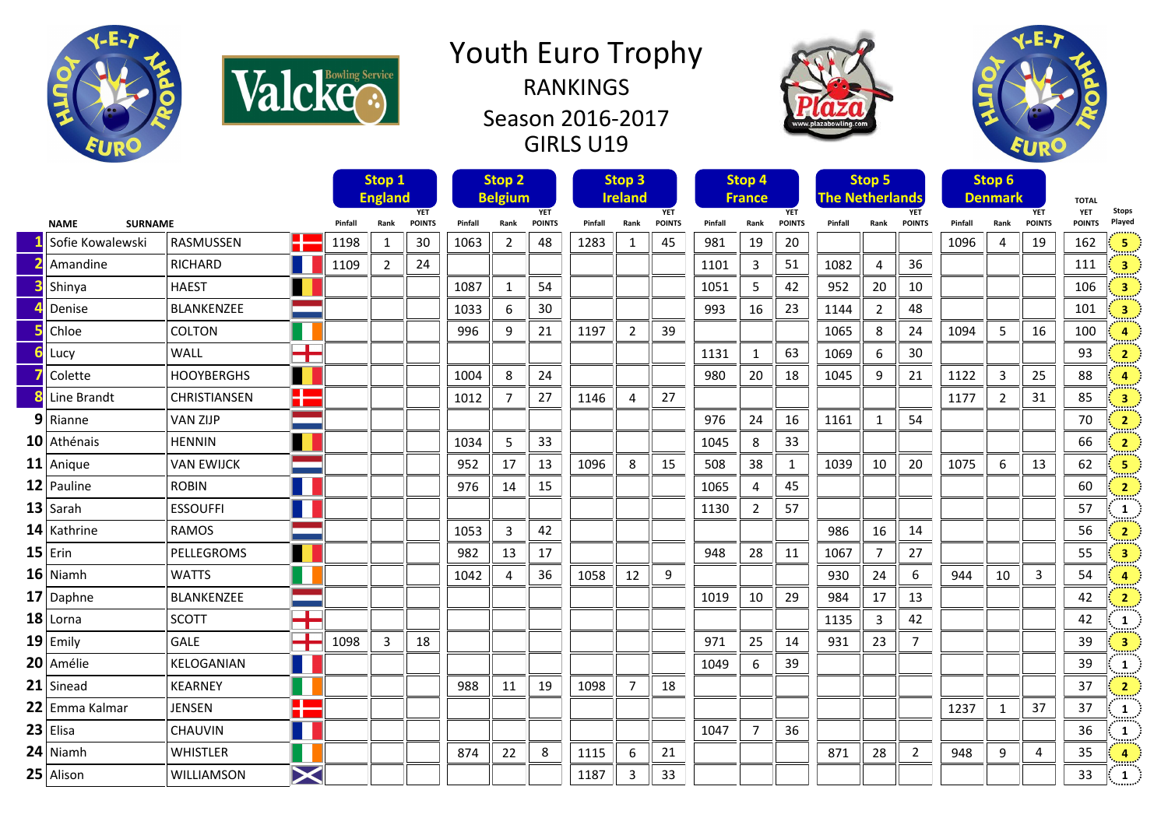

Valcke<sup>Service</sup>

## Youth Euro Trophy RANKINGS Season 2016-2017 GIRLS U19





|                               |                  |                   |                    | Stop 1<br><b>England</b><br><b>YET</b> |                |         |      | Stop <sub>2</sub><br><b>Belgium</b><br><b>YET</b> |         |      | Stop 3<br><b>Ireland</b> | <b>YET</b> | Stop 4<br><b>France</b> |                             |              | <b>The Netherlands</b> | Stop 5        | <b>YET</b>     |      | Stop 6<br><b>Denmark</b> | <b>YET</b>    | <b>TOTAL</b><br><b>YET</b> | <b>Stops</b>            |
|-------------------------------|------------------|-------------------|--------------------|----------------------------------------|----------------|---------|------|---------------------------------------------------|---------|------|--------------------------|------------|-------------------------|-----------------------------|--------------|------------------------|---------------|----------------|------|--------------------------|---------------|----------------------------|-------------------------|
| <b>SURNAME</b><br><b>NAME</b> |                  |                   | Pinfall            | Rank                                   | <b>POINTS</b>  | Pinfall | Rank | <b>POINTS</b>                                     | Pinfall | Rank | <b>POINTS</b>            | Pinfall    | Rank                    | <b>YET</b><br><b>POINTS</b> | Pinfall      | Rank                   | <b>POINTS</b> | Pinfall        | Rank | <b>POINTS</b>            | <b>POINTS</b> | Played                     |                         |
|                               | Sofie Kowalewski | <b>RASMUSSEN</b>  | H÷                 | 1198                                   | 1              | 30      | 1063 | $\overline{2}$                                    | 48      | 1283 | 1                        | 45         | 981                     | 19                          | 20           |                        |               |                | 1096 | 4                        | 19            | 162                        | 5                       |
|                               | Amandine         | <b>RICHARD</b>    |                    | 1109                                   | $\overline{2}$ | 24      |      |                                                   |         |      |                          |            | 1101                    | 3                           | 51           | 1082                   | Δ             | 36             |      |                          |               | 111                        | 3                       |
|                               | Shinya           | <b>HAEST</b>      |                    |                                        |                |         | 1087 | $\mathbf{1}$                                      | 54      |      |                          |            | 1051                    | 5                           | 42           | 952                    | 20            | 10             |      |                          |               | 106                        | $\overline{\mathbf{3}}$ |
|                               | Denise           | <b>BLANKENZEE</b> |                    |                                        |                |         | 1033 | 6                                                 | 30      |      |                          |            | 993                     | 16                          | 23           | 1144                   | 2             | 48             |      |                          |               | 101                        | $\overline{\mathbf{3}}$ |
|                               | Chloe            | <b>COLTON</b>     |                    |                                        |                |         | 996  | 9                                                 | 21      | 1197 | $\overline{2}$           | 39         |                         |                             |              | 1065                   | 8             | 24             | 1094 | 5                        | 16            | 100                        | $\overline{a}$          |
|                               | Lucy             | <b>WALL</b>       | T                  |                                        |                |         |      |                                                   |         |      |                          |            | 1131                    | $\mathbf{1}$                | 63           | 1069                   | 6             | 30             |      |                          |               | 93                         | $\overline{2}$          |
|                               | Colette          | <b>HOOYBERGHS</b> | H                  |                                        |                |         | 1004 | 8                                                 | 24      |      |                          |            | 980                     | 20                          | 18           | 1045                   | 9             | 21             | 1122 | 3                        | 25            | 88                         | 4                       |
|                               | Line Brandt      | CHRISTIANSEN      | H                  |                                        |                |         | 1012 | 7                                                 | 27      | 1146 | 4                        | 27         |                         |                             |              |                        |               |                | 1177 | $\overline{2}$           | 31            | 85                         | $\overline{\mathbf{3}}$ |
|                               | 9 Rianne         | <b>VAN ZIJP</b>   |                    |                                        |                |         |      |                                                   |         |      |                          |            | 976                     | 24                          | 16           | 1161                   | 1             | 54             |      |                          |               | 70                         | $\overline{2}$          |
|                               | 10 Athénais      | <b>HENNIN</b>     |                    |                                        |                |         | 1034 | 5                                                 | 33      |      |                          |            | 1045                    | 8                           | 33           |                        |               |                |      |                          |               | 66                         | $\overline{2}$          |
|                               | $11$ Anique      | <b>VAN EWIJCK</b> |                    |                                        |                |         | 952  | 17                                                | 13      | 1096 | 8                        | 15         | 508                     | 38                          | $\mathbf{1}$ | 1039                   | 10            | 20             | 1075 | 6                        | 13            | 62                         | -5                      |
|                               | 12 Pauline       | <b>ROBIN</b>      |                    |                                        |                |         | 976  | 14                                                | 15      |      |                          |            | 1065                    | $\overline{4}$              | 45           |                        |               |                |      |                          |               | 60                         | $\overline{2}$          |
|                               | $13$ Sarah       | <b>ESSOUFFI</b>   | t.                 |                                        |                |         |      |                                                   |         |      |                          |            | 1130                    | $\overline{2}$              | 57           |                        |               |                |      |                          |               | 57                         | $\mathbf{1}$            |
|                               | 14 Kathrine      | <b>RAMOS</b>      |                    |                                        |                |         | 1053 | 3                                                 | 42      |      |                          |            |                         |                             |              | 986                    | 16            | 14             |      |                          |               | 56                         | $\overline{2}$          |
|                               | $15$ Erin        | PELLEGROMS        | $\blacksquare$     |                                        |                |         | 982  | 13                                                | 17      |      |                          |            | 948                     | 28                          | 11           | 1067                   | 7             | 27             |      |                          |               | 55                         | $\overline{\mathbf{3}}$ |
|                               | $16$ Niamh       | <b>WATTS</b>      | L                  |                                        |                |         | 1042 | 4                                                 | 36      | 1058 | 12                       | 9          |                         |                             |              | 930                    | 24            | 6              | 944  | 10                       | 3             | 54                         | $\overline{4}$          |
|                               | 17 Daphne        | BLANKENZEE        |                    |                                        |                |         |      |                                                   |         |      |                          |            | 1019                    | 10                          | 29           | 984                    | 17            | 13             |      |                          |               | 42                         | $\mathbf{2}$            |
|                               | $18$ Lorna       | <b>SCOTT</b>      | n Bri<br><b>TE</b> |                                        |                |         |      |                                                   |         |      |                          |            |                         |                             |              | 1135                   | 3             | 42             |      |                          |               | 42                         | $\mathbf{1}$            |
|                               | $19$ Emily       | GALE              | <b>TIL</b><br>T    | 1098                                   | 3              | 18      |      |                                                   |         |      |                          |            | 971                     | 25                          | 14           | 931                    | 23            | $\overline{7}$ |      |                          |               | 39                         | $\overline{\mathbf{3}}$ |
|                               | 20 Amélie        | KELOGANIAN        | L                  |                                        |                |         |      |                                                   |         |      |                          |            | 1049                    | 6                           | 39           |                        |               |                |      |                          |               | 39                         | 1                       |
|                               | 21 Sinead        | <b>KEARNEY</b>    |                    |                                        |                |         | 988  | 11                                                | 19      | 1098 | $\overline{7}$           | 18         |                         |                             |              |                        |               |                |      |                          |               | 37                         | $\overline{2}$          |
|                               | 22 Emma Kalmar   | <b>JENSEN</b>     | H                  |                                        |                |         |      |                                                   |         |      |                          |            |                         |                             |              |                        |               |                | 1237 | 1                        | 37            | 37                         | $\mathbf{1}$            |
|                               | $23$ Elisa       | CHAUVIN           | Ŧ                  |                                        |                |         |      |                                                   |         |      |                          |            | 1047                    | $\overline{7}$              | 36           |                        |               |                |      |                          |               | 36                         | $\mathbf{1}$            |
|                               | $24$ Niamh       | <b>WHISTLER</b>   |                    |                                        |                |         | 874  | 22                                                | 8       | 1115 | 6                        | 21         |                         |                             |              | 871                    | 28            | $\overline{2}$ | 948  | 9                        | 4             | 35                         | $\overline{a}$          |
|                               | 25 Alison        | WILLIAMSON        | $\bm{\times}$      |                                        |                |         |      |                                                   |         | 1187 | 3                        | 33         |                         |                             |              |                        |               |                |      |                          |               | 33                         | 1                       |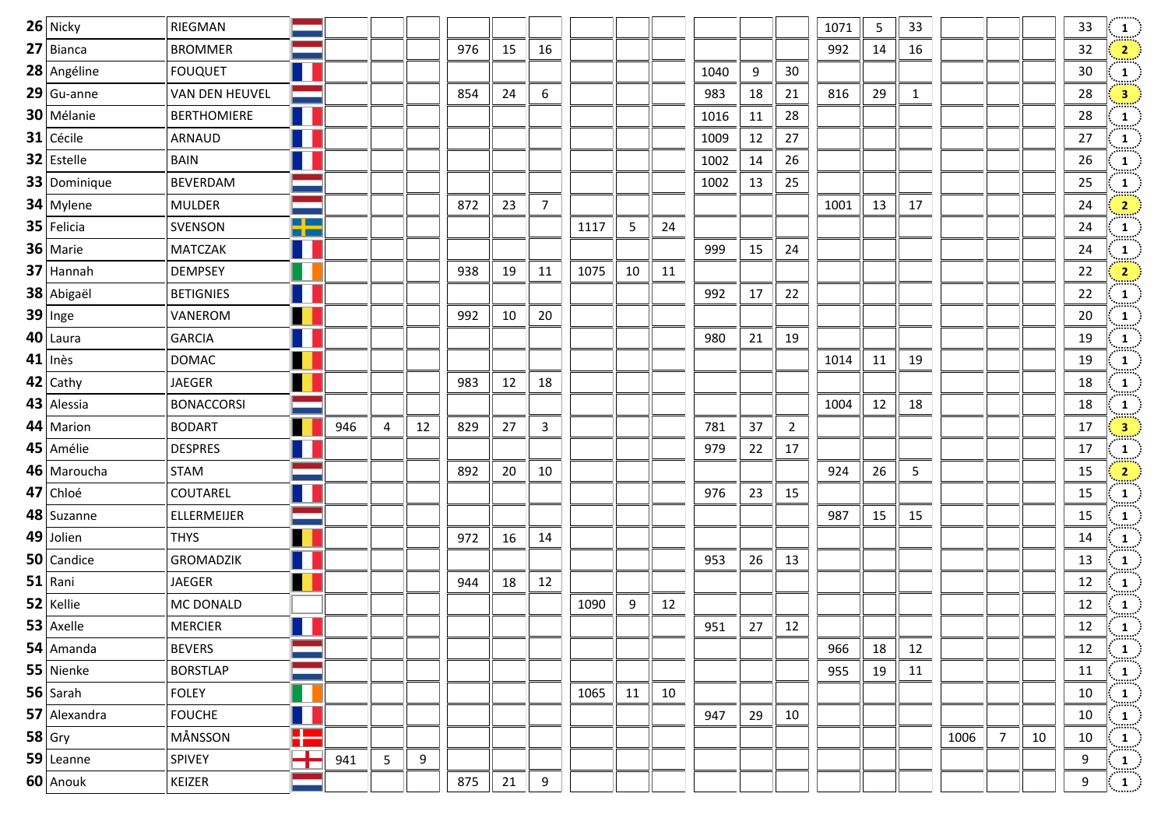| 26 Nicky     | RIEGMAN            |                |     |   |    |     |    |                |      |    |    |      |    |                | 1071 | 5  | 33 |      |                |    | 33 | $\frac{1}{2}$                                           |
|--------------|--------------------|----------------|-----|---|----|-----|----|----------------|------|----|----|------|----|----------------|------|----|----|------|----------------|----|----|---------------------------------------------------------|
| 27 Bianca    | <b>BROMMER</b>     |                |     |   |    | 976 | 15 | 16             |      |    |    |      |    |                | 992  | 14 | 16 |      |                |    | 32 | $\frac{2}{\pi}$                                         |
| 28 Angéline  | <b>FOUQUET</b>     | T              |     |   |    |     |    |                |      |    |    | 1040 | 9  | 30             |      |    |    |      |                |    | 30 | $\frac{1}{\sin \pi}$                                    |
| $29$ Gu-anne | VAN DEN HEUVEL     |                |     |   |    | 854 | 24 | 6              |      |    |    | 983  | 18 | 21             | 816  | 29 | 1  |      |                |    | 28 | $\frac{3}{2}$                                           |
| 30 Mélanie   | <b>BERTHOMIERE</b> | $\mathbb{R}^n$ |     |   |    |     |    |                |      |    |    | 1016 | 11 | 28             |      |    |    |      |                |    | 28 | $\frac{1}{2}$                                           |
| $31$ Cécile  | ARNAUD             | $\blacksquare$ |     |   |    |     |    |                |      |    |    | 1009 | 12 | 27             |      |    |    |      |                |    | 27 | $\frac{1}{2}$                                           |
| 32 Estelle   | <b>BAIN</b>        | L              |     |   |    |     |    |                |      |    |    | 1002 | 14 | 26             |      |    |    |      |                |    | 26 | $\frac{1}{2}$                                           |
| 33 Dominique | <b>BEVERDAM</b>    |                |     |   |    |     |    |                |      |    |    | 1002 | 13 | 25             |      |    |    |      |                |    | 25 | $\frac{1}{\min}$                                        |
| 34 Mylene    | <b>MULDER</b>      |                |     |   |    | 872 | 23 | $\overline{7}$ |      |    |    |      |    |                | 1001 | 13 | 17 |      |                |    | 24 | $\frac{2}{\sqrt{2}}$                                    |
| 35 Felicia   | SVENSON            | 55             |     |   |    |     |    |                | 1117 | 5  | 24 |      |    |                |      |    |    |      |                |    | 24 | $\frac{1}{2}$                                           |
| 36 Marie     | <b>MATCZAK</b>     | $\mathbf{I}$   |     |   |    |     |    |                |      |    |    | 999  | 15 | 24             |      |    |    |      |                |    | 24 | $\frac{1}{\min_{i}}$                                    |
| $37$ Hannah  | <b>DEMPSEY</b>     | U              |     |   |    | 938 | 19 | 11             | 1075 | 10 | 11 |      |    |                |      |    |    |      |                |    | 22 | $\begin{bmatrix} 2 \end{bmatrix}$                       |
| 38 Abigaël   | <b>BETIGNIES</b>   | H              |     |   |    |     |    |                |      |    |    | 992  | 17 | 22             |      |    |    |      |                |    | 22 | $\frac{1}{2}$                                           |
| $39$ Inge    | VANEROM            |                |     |   |    | 992 | 10 | 20             |      |    |    |      |    |                |      |    |    |      |                |    | 20 | $\frac{1}{\text{max}}$                                  |
| 40 Laura     | <b>GARCIA</b>      | $\blacksquare$ |     |   |    |     |    |                |      |    |    | 980  | 21 | 19             |      |    |    |      |                |    | 19 | $\frac{1}{2}$                                           |
| $41$ Inès    | <b>DOMAC</b>       |                |     |   |    |     |    |                |      |    |    |      |    |                | 1014 | 11 | 19 |      |                |    | 19 | $\frac{1}{\sin \pi}$                                    |
| $42$ Cathy   | <b>JAEGER</b>      |                |     |   |    | 983 | 12 | 18             |      |    |    |      |    |                |      |    |    |      |                |    | 18 | $\frac{1}{2}$                                           |
| 43 Alessia   | <b>BONACCORSI</b>  |                |     |   |    |     |    |                |      |    |    |      |    |                | 1004 | 12 | 18 |      |                |    | 18 | $\frac{1}{\sin \pi}$                                    |
| 44 Marion    | <b>BODART</b>      |                | 946 | 4 | 12 | 829 | 27 | $\mathbf{3}$   |      |    |    | 781  | 37 | $\overline{2}$ |      |    |    |      |                |    | 17 | $\frac{3}{2}$                                           |
| 45 Amélie    | <b>DESPRES</b>     |                |     |   |    |     |    |                |      |    |    | 979  | 22 | 17             |      |    |    |      |                |    | 17 | $\frac{1}{\min}$                                        |
| 46 Maroucha  | <b>STAM</b>        |                |     |   |    | 892 | 20 | 10             |      |    |    |      |    |                | 924  | 26 | 5  |      |                |    | 15 | $\frac{2}{2}$                                           |
| 47 Chloé     | COUTAREL           | L              |     |   |    |     |    |                |      |    |    | 976  | 23 | 15             |      |    |    |      |                |    | 15 | $\begin{pmatrix} 1 \ \cdots \end{pmatrix}$              |
| 48 Suzanne   | ELLERMEIJER        |                |     |   |    |     |    |                |      |    |    |      |    |                | 987  | 15 | 15 |      |                |    | 15 | $\frac{1}{2}$                                           |
| 49 Jolien    | <b>THYS</b>        | U              |     |   |    | 972 | 16 | 14             |      |    |    |      |    |                |      |    |    |      |                |    | 14 | $\frac{1}{\cdots}$                                      |
| 50 Candice   | <b>GROMADZIK</b>   | Ш              |     |   |    |     |    |                |      |    |    | 953  | 26 | 13             |      |    |    |      |                |    | 13 | $\frac{1}{2}$                                           |
| 51 Rani      | JAEGER             | $\blacksquare$ |     |   |    | 944 | 18 | 12             |      |    |    |      |    |                |      |    |    |      |                |    | 12 | $\frac{1}{\min}$                                        |
| 52 Kellie    | MC DONALD          |                |     |   |    |     |    |                | 1090 | 9  | 12 |      |    |                |      |    |    |      |                |    | 12 |                                                         |
| $53$ Axelle  | <b>MERCIER</b>     |                |     |   |    |     |    |                |      |    |    | 951  | 27 | 12             |      |    |    |      |                |    | 12 | $\begin{pmatrix} 1 \\ 1 \end{pmatrix}$                  |
| 54 Amanda    | <b>BEVERS</b>      |                |     |   |    |     |    |                |      |    |    |      |    |                | 966  | 18 | 12 |      |                |    | 12 | $\frac{1}{\sin \theta}$                                 |
| 55 Nienke    | <b>BORSTLAP</b>    |                |     |   |    |     |    |                |      |    |    |      |    |                | 955  | 19 | 11 |      |                |    | 11 | $\frac{1}{2}$                                           |
| $56$ Sarah   | <b>FOLEY</b>       |                |     |   |    |     |    |                | 1065 | 11 | 10 |      |    |                |      |    |    |      |                |    | 10 | $\mathbf{1}$                                            |
| 57 Alexandra | <b>FOUCHE</b>      |                |     |   |    |     |    |                |      |    |    | 947  | 29 | 10             |      |    |    |      |                |    | 10 | $\frac{1}{\text{max}}$                                  |
| $58$ Gry     | MÅNSSON            | H              |     |   |    |     |    |                |      |    |    |      |    |                |      |    |    | 1006 | $\overline{7}$ | 10 | 10 | $\frac{1}{\sinh^2}$                                     |
| 59 Leanne    | SPIVEY             | ╈              | 941 | 5 | 9  |     |    |                |      |    |    |      |    |                |      |    |    |      |                |    | 9  | $\left  \begin{array}{c} 1 \ \end{array} \right\rangle$ |
| 60 Anouk     | KEIZER             |                |     |   |    | 875 | 21 | 9              |      |    |    |      |    |                |      |    |    |      |                |    | 9  | $\begin{pmatrix} 1 \end{pmatrix}$                       |